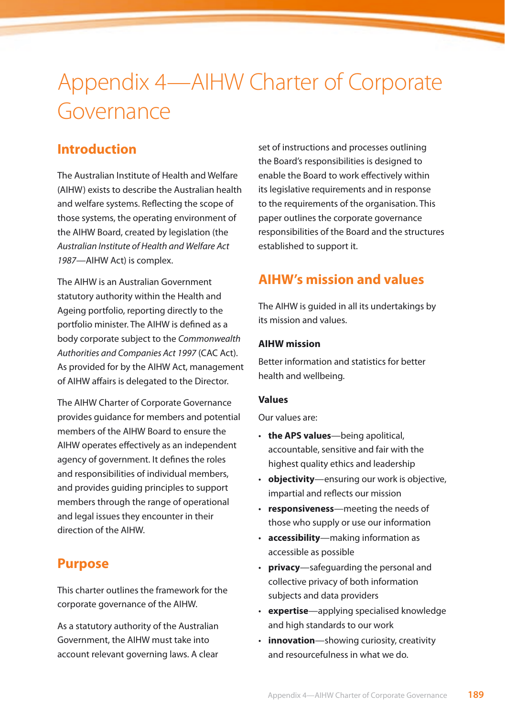# Appendix 4—AIHW Charter of Corporate Governance

# **Introduction**

The Australian Institute of Health and Welfare (AIHW) exists to describe the Australian health and welfare systems. Reflecting the scope of those systems, the operating environment of the AIHW Board, created by legislation (the *Australian Institute of Health and Welfare Act 1987—*AIHW Act) is complex.

The AIHW is an Australian Government statutory authority within the Health and Ageing portfolio, reporting directly to the portfolio minister. The AIHW is defined as a body corporate subject to the *Commonwealth Authorities and Companies Act 1997* (CAC Act). As provided for by the AIHW Act, management of AIHW affairs is delegated to the Director.

The AIHW Charter of Corporate Governance provides guidance for members and potential members of the AIHW Board to ensure the AIHW operates effectively as an independent agency of government. It defines the roles and responsibilities of individual members, and provides guiding principles to support members through the range of operational and legal issues they encounter in their direction of the AIHW.

## **Purpose**

This charter outlines the framework for the corporate governance of the AIHW.

As a statutory authority of the Australian Government, the AIHW must take into account relevant governing laws. A clear

set of instructions and processes outlining the Board's responsibilities is designed to enable the Board to work effectively within its legislative requirements and in response to the requirements of the organisation. This paper outlines the corporate governance responsibilities of the Board and the structures established to support it.

# **AIHW's mission and values**

The AIHW is guided in all its undertakings by its mission and values.

### **AIHW mission**

Better information and statistics for better health and wellbeing.

#### **Values**

Our values are:

- • **the APS values**—being apolitical, accountable, sensitive and fair with the highest quality ethics and leadership
- **objectivity**—ensuring our work is objective, impartial and reflects our mission
- • **responsiveness**—meeting the needs of those who supply or use our information
- • **accessibility**—making information as accessible as possible
- • **privacy**—safeguarding the personal and collective privacy of both information subjects and data providers
- • **expertise**—applying specialised knowledge and high standards to our work
- • **innovation**—showing curiosity, creativity and resourcefulness in what we do.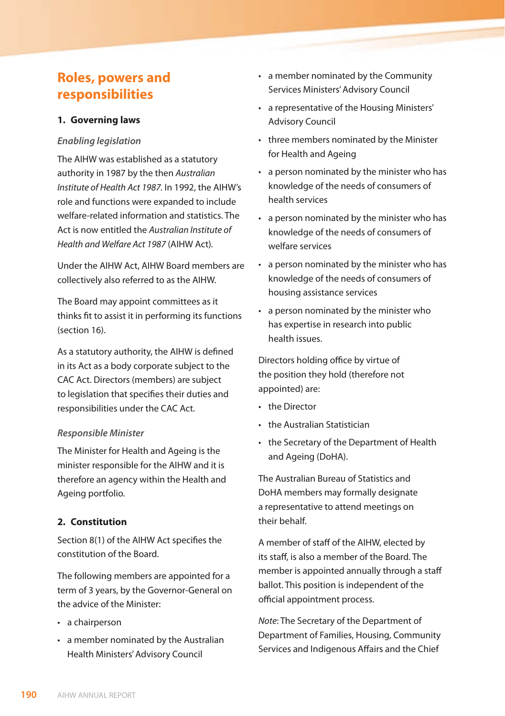## **Roles, powers and responsibilities**

## **1. Governing laws**

#### *Enabling legislation*

The AIHW was established as a statutory authority in 1987 by the then *Australian Institute of Health Act 1987.* In 1992, the AIHW's role and functions were expanded to include welfare-related information and statistics. The Act is now entitled the *Australian Institute of Health and Welfare Act 1987* (AIHW Act)*.*

Under the AIHW Act, AIHW Board members are collectively also referred to as the AIHW.

The Board may appoint committees as it thinks fit to assist it in performing its functions (section 16).

As a statutory authority, the AIHW is defined in its Act as a body corporate subject to the CAC Act. Directors (members) are subject to legislation that specifies their duties and responsibilities under the CAC Act.

#### *Responsible Minister*

The Minister for Health and Ageing is the minister responsible for the AIHW and it is therefore an agency within the Health and Ageing portfolio.

#### **2. Constitution**

Section 8(1) of the AIHW Act specifies the constitution of the Board.

The following members are appointed for a term of 3 years, by the Governor-General on the advice of the Minister:

- a chairperson
- • a member nominated by the Australian Health Ministers' Advisory Council
- • a member nominated by the Community Services Ministers' Advisory Council
- • a representative of the Housing Ministers' Advisory Council
- three members nominated by the Minister for Health and Ageing
- a person nominated by the minister who has knowledge of the needs of consumers of health services
- • a person nominated by the minister who has knowledge of the needs of consumers of welfare services
- • a person nominated by the minister who has knowledge of the needs of consumers of housing assistance services
- • a person nominated by the minister who has expertise in research into public health issues.

Directors holding office by virtue of the position they hold (therefore not appointed) are:

- the Director
- the Australian Statistician
- • the Secretary of the Department of Health and Ageing (DoHA).

The Australian Bureau of Statistics and DoHA members may formally designate a representative to attend meetings on their behalf.

A member of staff of the AIHW, elected by its staff, is also a member of the Board. The member is appointed annually through a staff ballot. This position is independent of the official appointment process.

*Note*: The Secretary of the Department of Department of Families, Housing, Community Services and Indigenous Affairs and the Chief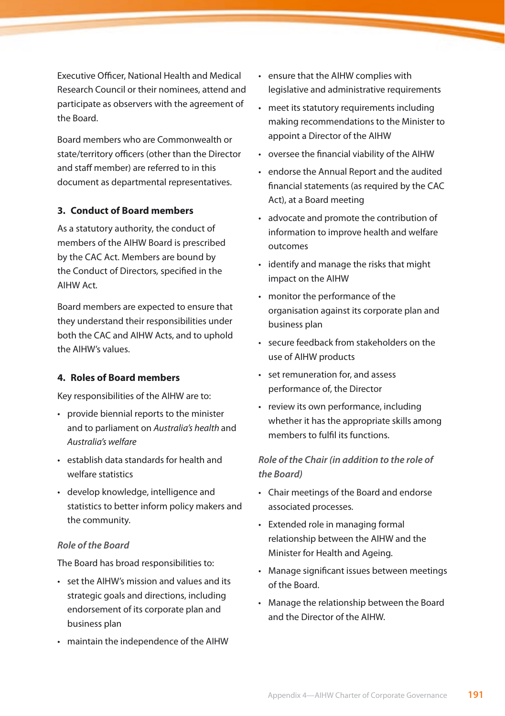Executive Officer, National Health and Medical Research Council or their nominees, attend and participate as observers with the agreement of the Board.

Board members who are Commonwealth or state/territory officers (other than the Director and staff member) are referred to in this document as departmental representatives.

#### **3. Conduct of Board members**

As a statutory authority, the conduct of members of the AIHW Board is prescribed by the CAC Act. Members are bound by the Conduct of Directors*,* specified in the AIHW Act*.*

Board members are expected to ensure that they understand their responsibilities under both the CAC and AIHW Acts, and to uphold the AIHW's values.

#### **4. Roles of Board members**

Key responsibilities of the AIHW are to:

- provide biennial reports to the minister and to parliament on *Australia's health* and *Australia's welfare*
- • establish data standards for health and welfare statistics
- • develop knowledge, intelligence and statistics to better inform policy makers and the community.

#### *Role of the Board*

The Board has broad responsibilities to:

- • set the AIHW's mission and values and its strategic goals and directions, including endorsement of its corporate plan and business plan
- • maintain the independence of the AIHW
- • ensure that the AIHW complies with legislative and administrative requirements
- meet its statutory requirements including making recommendations to the Minister to appoint a Director of the AIHW
- • oversee the financial viability of the AIHW
- • endorse the Annual Report and the audited financial statements (as required by the CAC Act), at a Board meeting
- • advocate and promote the contribution of information to improve health and welfare outcomes
- • identify and manage the risks that might impact on the AIHW
- • monitor the performance of the organisation against its corporate plan and business plan
- • secure feedback from stakeholders on the use of AIHW products
- • set remuneration for, and assess performance of, the Director
- • review its own performance, including whether it has the appropriate skills among members to fulfil its functions.

## *Role of the Chair (in addition to the role of the Board)*

- • Chair meetings of the Board and endorse associated processes.
- • Extended role in managing formal relationship between the AIHW and the Minister for Health and Ageing.
- • Manage significant issues between meetings of the Board.
- • Manage the relationship between the Board and the Director of the AIHW.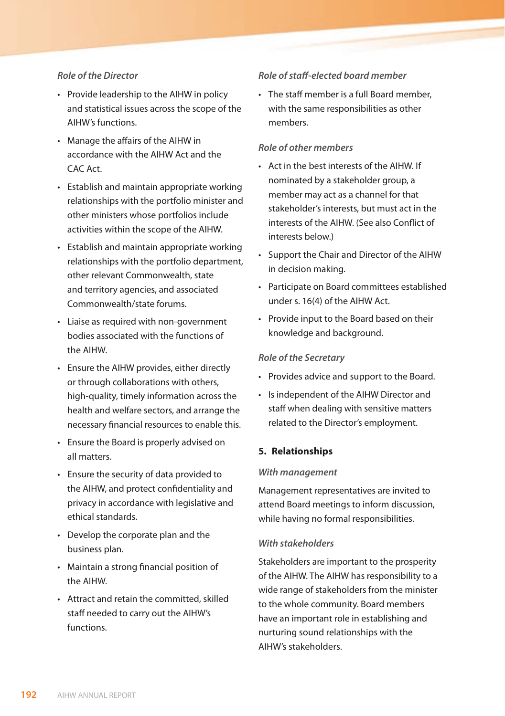#### *Role of the Director*

- Provide leadership to the AIHW in policy and statistical issues across the scope of the AIHW's functions.
- • Manage the affairs of the AIHW in accordance with the AIHW Act and the CAC Act.
- • Establish and maintain appropriate working relationships with the portfolio minister and other ministers whose portfolios include activities within the scope of the AIHW.
- Establish and maintain appropriate working relationships with the portfolio department, other relevant Commonwealth, state and territory agencies, and associated Commonwealth/state forums.
- • Liaise as required with non-government bodies associated with the functions of the AIHW.
- • Ensure the AIHW provides, either directly or through collaborations with others, high-quality, timely information across the health and welfare sectors, and arrange the necessary financial resources to enable this.
- • Ensure the Board is properly advised on all matters.
- • Ensure the security of data provided to the AIHW, and protect confidentiality and privacy in accordance with legislative and ethical standards.
- • Develop the corporate plan and the business plan.
- • Maintain a strong financial position of the AIHW.
- • Attract and retain the committed, skilled staff needed to carry out the AIHW's functions.

#### *Role of staff-elected board member*

• The staff member is a full Board member, with the same responsibilities as other members.

#### *Role of other members*

- • Act in the best interests of the AIHW. If nominated by a stakeholder group, a member may act as a channel for that stakeholder's interests, but must act in the interests of the AIHW. (See also Conflict of interests below.)
- • Support the Chair and Director of the AIHW in decision making.
- • Participate on Board committees established under s. 16(4) of the AIHW Act.
- • Provide input to the Board based on their knowledge and background.

#### *Role of the Secretary*

- • Provides advice and support to the Board.
- • Is independent of the AIHW Director and staff when dealing with sensitive matters related to the Director's employment.

#### **5. Relationships**

#### *With management*

Management representatives are invited to attend Board meetings to inform discussion, while having no formal responsibilities.

#### *With stakeholders*

Stakeholders are important to the prosperity of the AIHW. The AIHW has responsibility to a wide range of stakeholders from the minister to the whole community. Board members have an important role in establishing and nurturing sound relationships with the AIHW's stakeholders.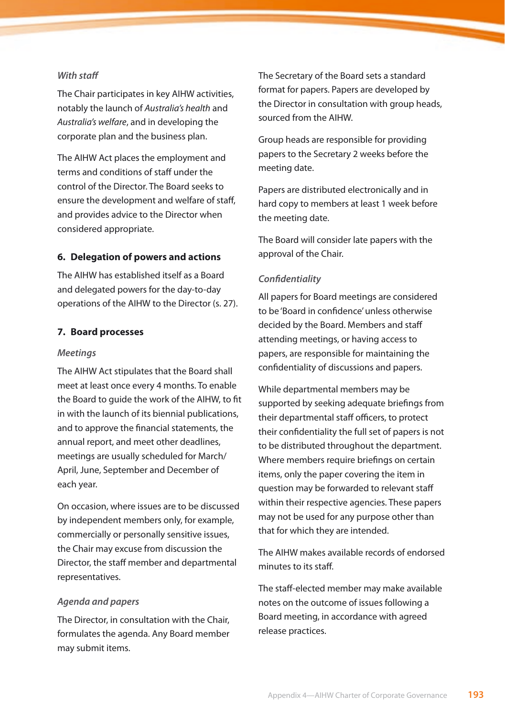#### *With staff*

The Chair participates in key AIHW activities, notably the launch of *Australia's health* and *Australia's welfare*, and in developing the corporate plan and the business plan.

The AIHW Act places the employment and terms and conditions of staff under the control of the Director. The Board seeks to ensure the development and welfare of staff, and provides advice to the Director when considered appropriate.

#### **6. Delegation of powers and actions**

The AIHW has established itself as a Board and delegated powers for the day-to-day operations of the AIHW to the Director (s. 27).

#### **7. Board processes**

#### *Meetings*

The AIHW Act stipulates that the Board shall meet at least once every 4 months. To enable the Board to guide the work of the AIHW, to fit in with the launch of its biennial publications, and to approve the financial statements, the annual report, and meet other deadlines, meetings are usually scheduled for March/ April, June, September and December of each year.

On occasion, where issues are to be discussed by independent members only, for example, commercially or personally sensitive issues, the Chair may excuse from discussion the Director, the staff member and departmental representatives.

#### *Agenda and papers*

The Director, in consultation with the Chair, formulates the agenda. Any Board member may submit items.

The Secretary of the Board sets a standard format for papers. Papers are developed by the Director in consultation with group heads, sourced from the AIHW.

Group heads are responsible for providing papers to the Secretary 2 weeks before the meeting date.

Papers are distributed electronically and in hard copy to members at least 1 week before the meeting date.

The Board will consider late papers with the approval of the Chair.

#### *Confidentiality*

All papers for Board meetings are considered to be 'Board in confidence' unless otherwise decided by the Board. Members and staff attending meetings, or having access to papers, are responsible for maintaining the confidentiality of discussions and papers.

While departmental members may be supported by seeking adequate briefings from their departmental staff officers, to protect their confidentiality the full set of papers is not to be distributed throughout the department. Where members require briefings on certain items, only the paper covering the item in question may be forwarded to relevant staff within their respective agencies. These papers may not be used for any purpose other than that for which they are intended.

The AIHW makes available records of endorsed minutes to its staff.

The staff-elected member may make available notes on the outcome of issues following a Board meeting, in accordance with agreed release practices.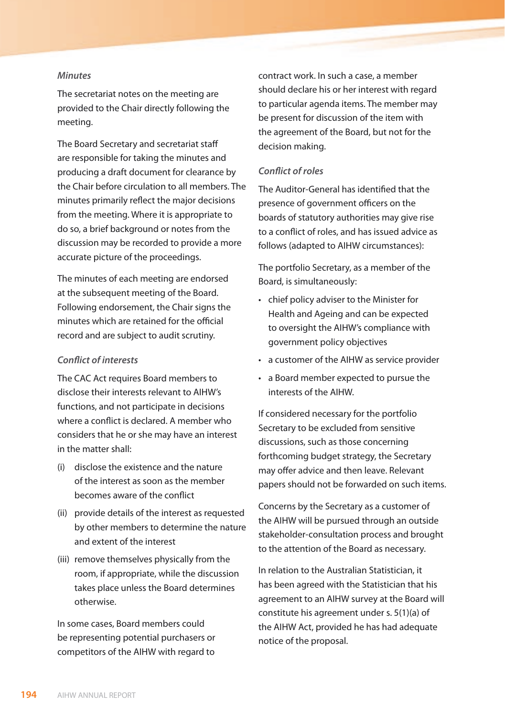#### *Minutes*

The secretariat notes on the meeting are provided to the Chair directly following the meeting.

The Board Secretary and secretariat staff are responsible for taking the minutes and producing a draft document for clearance by the Chair before circulation to all members. The minutes primarily reflect the major decisions from the meeting. Where it is appropriate to do so, a brief background or notes from the discussion may be recorded to provide a more accurate picture of the proceedings.

The minutes of each meeting are endorsed at the subsequent meeting of the Board. Following endorsement, the Chair signs the minutes which are retained for the official record and are subject to audit scrutiny.

#### *Conflict of interests*

The CAC Act requires Board members to disclose their interests relevant to AIHW's functions, and not participate in decisions where a conflict is declared. A member who considers that he or she may have an interest in the matter shall:

- (i) disclose the existence and the nature of the interest as soon as the member becomes aware of the conflict
- (ii) provide details of the interest as requested by other members to determine the nature and extent of the interest
- (iii) remove themselves physically from the room, if appropriate, while the discussion takes place unless the Board determines otherwise.

In some cases, Board members could be representing potential purchasers or competitors of the AIHW with regard to

contract work. In such a case, a member should declare his or her interest with regard to particular agenda items. The member may be present for discussion of the item with the agreement of the Board, but not for the decision making.

#### *Conflict of roles*

The Auditor-General has identified that the presence of government officers on the boards of statutory authorities may give rise to a conflict of roles, and has issued advice as follows (adapted to AIHW circumstances):

The portfolio Secretary, as a member of the Board, is simultaneously:

- • chief policy adviser to the Minister for Health and Ageing and can be expected to oversight the AIHW's compliance with government policy objectives
- • a customer of the AIHW as service provider
- • a Board member expected to pursue the interests of the AIHW.

If considered necessary for the portfolio Secretary to be excluded from sensitive discussions, such as those concerning forthcoming budget strategy, the Secretary may offer advice and then leave. Relevant papers should not be forwarded on such items.

Concerns by the Secretary as a customer of the AIHW will be pursued through an outside stakeholder-consultation process and brought to the attention of the Board as necessary.

In relation to the Australian Statistician, it has been agreed with the Statistician that his agreement to an AIHW survey at the Board will constitute his agreement under s. 5(1)(a) of the AIHW Act, provided he has had adequate notice of the proposal.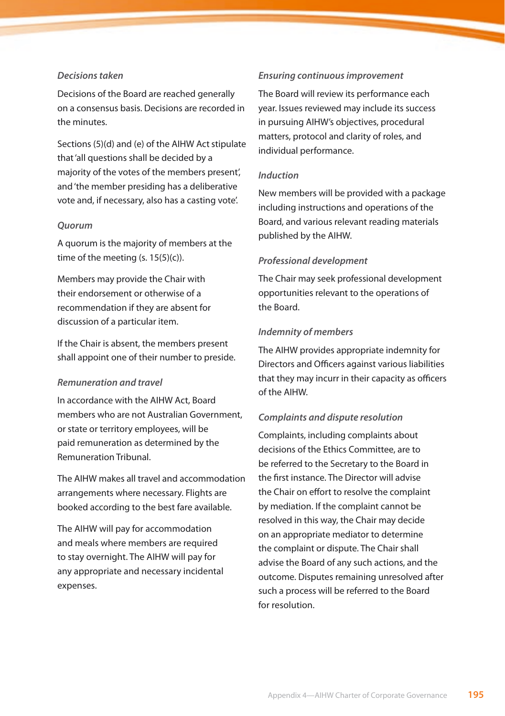#### *Decisions taken*

Decisions of the Board are reached generally on a consensus basis. Decisions are recorded in the minutes.

Sections (5)(d) and (e) of the AIHW Act stipulate that 'all questions shall be decided by a majority of the votes of the members present', and 'the member presiding has a deliberative vote and, if necessary, also has a casting vote'.

#### *Quorum*

A quorum is the majority of members at the time of the meeting  $(s. 15(5)(c))$ .

Members may provide the Chair with their endorsement or otherwise of a recommendation if they are absent for discussion of a particular item.

If the Chair is absent, the members present shall appoint one of their number to preside.

#### *Remuneration and travel*

In accordance with the AIHW Act, Board members who are not Australian Government, or state or territory employees, will be paid remuneration as determined by the Remuneration Tribunal.

The AIHW makes all travel and accommodation arrangements where necessary. Flights are booked according to the best fare available.

The AIHW will pay for accommodation and meals where members are required to stay overnight. The AIHW will pay for any appropriate and necessary incidental expenses.

#### *Ensuring continuous improvement*

The Board will review its performance each year. Issues reviewed may include its success in pursuing AIHW's objectives, procedural matters, protocol and clarity of roles, and individual performance.

#### *Induction*

New members will be provided with a package including instructions and operations of the Board, and various relevant reading materials published by the AIHW.

#### *Professional development*

The Chair may seek professional development opportunities relevant to the operations of the Board.

#### *Indemnity of members*

The AIHW provides appropriate indemnity for Directors and Officers against various liabilities that they may incurr in their capacity as officers of the AIHW.

#### *Complaints and dispute resolution*

Complaints, including complaints about decisions of the Ethics Committee, are to be referred to the Secretary to the Board in the first instance. The Director will advise the Chair on effort to resolve the complaint by mediation. If the complaint cannot be resolved in this way, the Chair may decide on an appropriate mediator to determine the complaint or dispute. The Chair shall advise the Board of any such actions, and the outcome. Disputes remaining unresolved after such a process will be referred to the Board for resolution.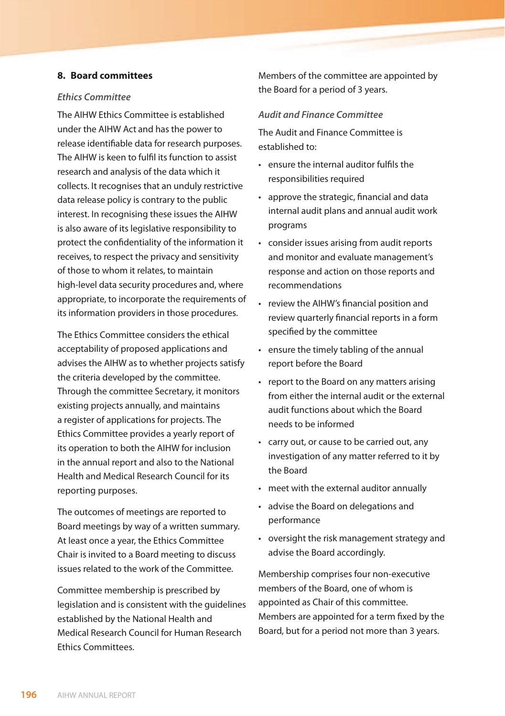#### **8. Board committees**

#### *Ethics Committee*

The AIHW Ethics Committee is established under the AIHW Act and has the power to release identifiable data for research purposes. The AIHW is keen to fulfil its function to assist research and analysis of the data which it collects. It recognises that an unduly restrictive data release policy is contrary to the public interest. In recognising these issues the AIHW is also aware of its legislative responsibility to protect the confidentiality of the information it receives, to respect the privacy and sensitivity of those to whom it relates, to maintain high-level data security procedures and, where appropriate, to incorporate the requirements of its information providers in those procedures.

The Ethics Committee considers the ethical acceptability of proposed applications and advises the AIHW as to whether projects satisfy the criteria developed by the committee. Through the committee Secretary, it monitors existing projects annually, and maintains a register of applications for projects. The Ethics Committee provides a yearly report of its operation to both the AIHW for inclusion in the annual report and also to the National Health and Medical Research Council for its reporting purposes.

The outcomes of meetings are reported to Board meetings by way of a written summary. At least once a year, the Ethics Committee Chair is invited to a Board meeting to discuss issues related to the work of the Committee.

Committee membership is prescribed by legislation and is consistent with the guidelines established by the National Health and Medical Research Council for Human Research Ethics Committees.

Members of the committee are appointed by the Board for a period of 3 years.

#### *Audit and Finance Committee*

The Audit and Finance Committee is established to:

- • ensure the internal auditor fulfils the responsibilities required
- • approve the strategic, financial and data internal audit plans and annual audit work programs
- • consider issues arising from audit reports and monitor and evaluate management's response and action on those reports and recommendations
- review the AIHW's financial position and review quarterly financial reports in a form specified by the committee
- • ensure the timely tabling of the annual report before the Board
- • report to the Board on any matters arising from either the internal audit or the external audit functions about which the Board needs to be informed
- • carry out, or cause to be carried out, any investigation of any matter referred to it by the Board
- • meet with the external auditor annually
- • advise the Board on delegations and performance
- • oversight the risk management strategy and advise the Board accordingly.

Membership comprises four non-executive members of the Board, one of whom is appointed as Chair of this committee. Members are appointed for a term fixed by the Board, but for a period not more than 3 years.